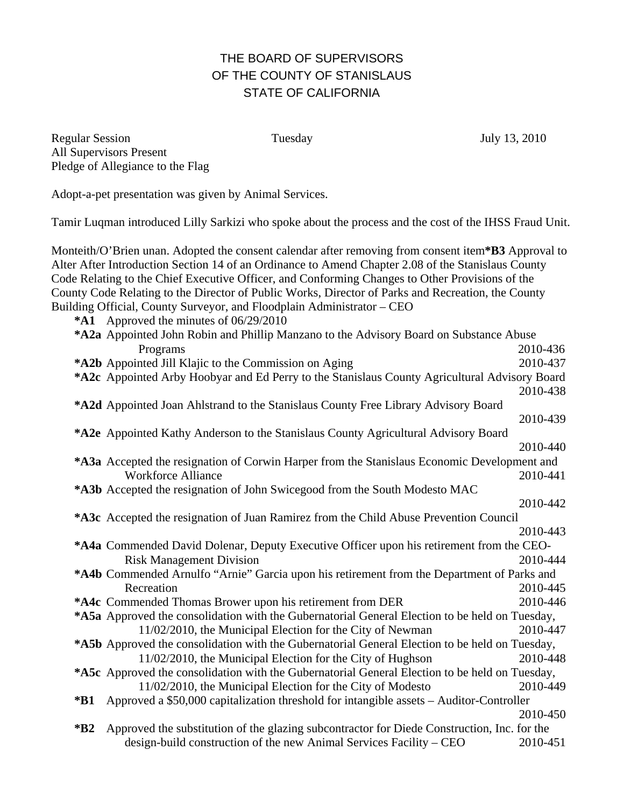## THE BOARD OF SUPERVISORS OF THE COUNTY OF STANISLAUS STATE OF CALIFORNIA

Regular Session Tuesday July 13, 2010 All Supervisors Present Pledge of Allegiance to the Flag

Adopt-a-pet presentation was given by Animal Services.

Tamir Luqman introduced Lilly Sarkizi who spoke about the process and the cost of the IHSS Fraud Unit.

Monteith/O'Brien unan. Adopted the consent calendar after removing from consent item**\*B3** Approval to Alter After Introduction Section 14 of an Ordinance to Amend Chapter 2.08 of the Stanislaus County Code Relating to the Chief Executive Officer, and Conforming Changes to Other Provisions of the County Code Relating to the Director of Public Works, Director of Parks and Recreation, the County Building Official, County Surveyor, and Floodplain Administrator – CEO

**\*A1** Approved the minutes of 06/29/2010

| *A2a Appointed John Robin and Phillip Manzano to the Advisory Board on Substance Abuse               |          |
|------------------------------------------------------------------------------------------------------|----------|
| Programs                                                                                             | 2010-436 |
| *A2b Appointed Jill Klajic to the Commission on Aging                                                | 2010-437 |
| *A2c Appointed Arby Hoobyar and Ed Perry to the Stanislaus County Agricultural Advisory Board        |          |
|                                                                                                      | 2010-438 |
| *A2d Appointed Joan Ahlstrand to the Stanislaus County Free Library Advisory Board                   |          |
|                                                                                                      | 2010-439 |
| *A2e Appointed Kathy Anderson to the Stanislaus County Agricultural Advisory Board                   |          |
|                                                                                                      | 2010-440 |
| *A3a Accepted the resignation of Corwin Harper from the Stanislaus Economic Development and          |          |
| <b>Workforce Alliance</b>                                                                            | 2010-441 |
| *A3b Accepted the resignation of John Swicegood from the South Modesto MAC                           |          |
|                                                                                                      | 2010-442 |
| *A3c Accepted the resignation of Juan Ramirez from the Child Abuse Prevention Council                |          |
|                                                                                                      | 2010-443 |
| *A4a Commended David Dolenar, Deputy Executive Officer upon his retirement from the CEO-             |          |
|                                                                                                      |          |
| <b>Risk Management Division</b>                                                                      | 2010-444 |
| *A4b Commended Arnulfo "Arnie" Garcia upon his retirement from the Department of Parks and           |          |
| Recreation                                                                                           | 2010-445 |
| *A4c Commended Thomas Brower upon his retirement from DER                                            | 2010-446 |
| *A5a Approved the consolidation with the Gubernatorial General Election to be held on Tuesday,       |          |
| 11/02/2010, the Municipal Election for the City of Newman                                            | 2010-447 |
| *A5b Approved the consolidation with the Gubernatorial General Election to be held on Tuesday,       |          |
| 11/02/2010, the Municipal Election for the City of Hughson                                           | 2010-448 |
| *A5c Approved the consolidation with the Gubernatorial General Election to be held on Tuesday,       |          |
| 11/02/2010, the Municipal Election for the City of Modesto                                           | 2010-449 |
| Approved a \$50,000 capitalization threshold for intangible assets - Auditor-Controller<br>$*B1$     |          |
|                                                                                                      | 2010-450 |
| Approved the substitution of the glazing subcontractor for Diede Construction, Inc. for the<br>$*B2$ |          |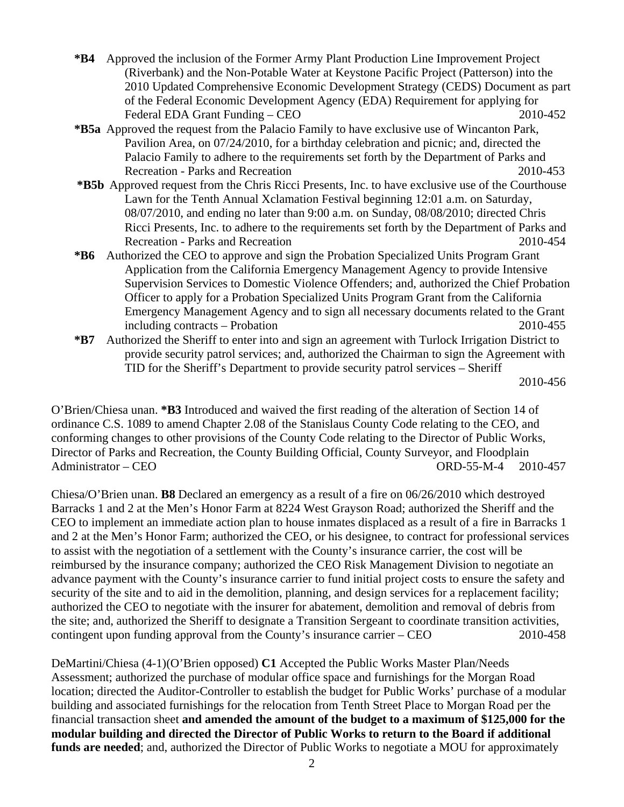- **\*B4** Approved the inclusion of the Former Army Plant Production Line Improvement Project (Riverbank) and the Non-Potable Water at Keystone Pacific Project (Patterson) into the 2010 Updated Comprehensive Economic Development Strategy (CEDS) Document as part of the Federal Economic Development Agency (EDA) Requirement for applying for Federal EDA Grant Funding – CEO 2010-452
- **\*B5a** Approved the request from the Palacio Family to have exclusive use of Wincanton Park, Pavilion Area, on 07/24/2010, for a birthday celebration and picnic; and, directed the Palacio Family to adhere to the requirements set forth by the Department of Parks and Recreation - Parks and Recreation 2010-453
- **\*B5b** Approved request from the Chris Ricci Presents, Inc. to have exclusive use of the Courthouse Lawn for the Tenth Annual Xclamation Festival beginning 12:01 a.m. on Saturday, 08/07/2010, and ending no later than 9:00 a.m. on Sunday, 08/08/2010; directed Chris Ricci Presents, Inc. to adhere to the requirements set forth by the Department of Parks and Recreation - Parks and Recreation 2010-454
- **\*B6** Authorized the CEO to approve and sign the Probation Specialized Units Program Grant Application from the California Emergency Management Agency to provide Intensive Supervision Services to Domestic Violence Offenders; and, authorized the Chief Probation Officer to apply for a Probation Specialized Units Program Grant from the California Emergency Management Agency and to sign all necessary documents related to the Grant including contracts – Probation 2010-455
- **\*B7** Authorized the Sheriff to enter into and sign an agreement with Turlock Irrigation District to provide security patrol services; and, authorized the Chairman to sign the Agreement with TID for the Sheriff's Department to provide security patrol services – Sheriff

2010-456

O'Brien/Chiesa unan. **\*B3** Introduced and waived the first reading of the alteration of Section 14 of ordinance C.S. 1089 to amend Chapter 2.08 of the Stanislaus County Code relating to the CEO, and conforming changes to other provisions of the County Code relating to the Director of Public Works, Director of Parks and Recreation, the County Building Official, County Surveyor, and Floodplain Administrator – CEO ORD-55-M-4 2010-457

Chiesa/O'Brien unan. **B8** Declared an emergency as a result of a fire on 06/26/2010 which destroyed Barracks 1 and 2 at the Men's Honor Farm at 8224 West Grayson Road; authorized the Sheriff and the CEO to implement an immediate action plan to house inmates displaced as a result of a fire in Barracks 1 and 2 at the Men's Honor Farm; authorized the CEO, or his designee, to contract for professional services to assist with the negotiation of a settlement with the County's insurance carrier, the cost will be reimbursed by the insurance company; authorized the CEO Risk Management Division to negotiate an advance payment with the County's insurance carrier to fund initial project costs to ensure the safety and security of the site and to aid in the demolition, planning, and design services for a replacement facility; authorized the CEO to negotiate with the insurer for abatement, demolition and removal of debris from the site; and, authorized the Sheriff to designate a Transition Sergeant to coordinate transition activities, contingent upon funding approval from the County's insurance carrier – CEO 2010-458

DeMartini/Chiesa (4-1)(O'Brien opposed) **C1** Accepted the Public Works Master Plan/Needs Assessment; authorized the purchase of modular office space and furnishings for the Morgan Road location; directed the Auditor-Controller to establish the budget for Public Works' purchase of a modular building and associated furnishings for the relocation from Tenth Street Place to Morgan Road per the financial transaction sheet **and amended the amount of the budget to a maximum of \$125,000 for the modular building and directed the Director of Public Works to return to the Board if additional funds are needed**; and, authorized the Director of Public Works to negotiate a MOU for approximately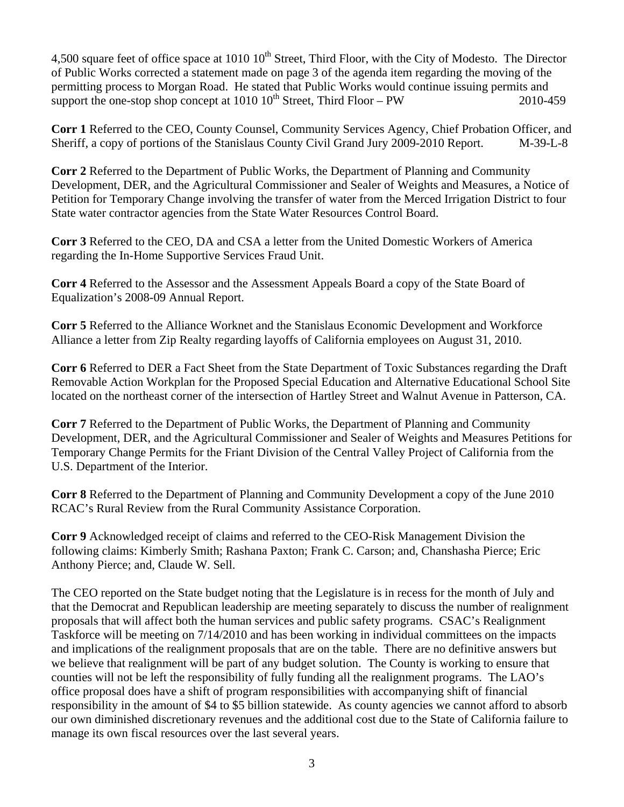4,500 square feet of office space at 1010 10<sup>th</sup> Street, Third Floor, with the City of Modesto. The Director of Public Works corrected a statement made on page 3 of the agenda item regarding the moving of the permitting process to Morgan Road. He stated that Public Works would continue issuing permits and support the one-stop shop concept at  $1010 \, 10^{th}$  Street, Third Floor – PW 2010-459

**Corr 1** Referred to the CEO, County Counsel, Community Services Agency, Chief Probation Officer, and Sheriff, a copy of portions of the Stanislaus County Civil Grand Jury 2009-2010 Report. M-39-L-8

**Corr 2** Referred to the Department of Public Works, the Department of Planning and Community Development, DER, and the Agricultural Commissioner and Sealer of Weights and Measures, a Notice of Petition for Temporary Change involving the transfer of water from the Merced Irrigation District to four State water contractor agencies from the State Water Resources Control Board.

**Corr 3** Referred to the CEO, DA and CSA a letter from the United Domestic Workers of America regarding the In-Home Supportive Services Fraud Unit.

**Corr 4** Referred to the Assessor and the Assessment Appeals Board a copy of the State Board of Equalization's 2008-09 Annual Report.

**Corr 5** Referred to the Alliance Worknet and the Stanislaus Economic Development and Workforce Alliance a letter from Zip Realty regarding layoffs of California employees on August 31, 2010.

**Corr 6** Referred to DER a Fact Sheet from the State Department of Toxic Substances regarding the Draft Removable Action Workplan for the Proposed Special Education and Alternative Educational School Site located on the northeast corner of the intersection of Hartley Street and Walnut Avenue in Patterson, CA.

**Corr 7** Referred to the Department of Public Works, the Department of Planning and Community Development, DER, and the Agricultural Commissioner and Sealer of Weights and Measures Petitions for Temporary Change Permits for the Friant Division of the Central Valley Project of California from the U.S. Department of the Interior.

**Corr 8** Referred to the Department of Planning and Community Development a copy of the June 2010 RCAC's Rural Review from the Rural Community Assistance Corporation.

**Corr 9** Acknowledged receipt of claims and referred to the CEO-Risk Management Division the following claims: Kimberly Smith; Rashana Paxton; Frank C. Carson; and, Chanshasha Pierce; Eric Anthony Pierce; and, Claude W. Sell.

The CEO reported on the State budget noting that the Legislature is in recess for the month of July and that the Democrat and Republican leadership are meeting separately to discuss the number of realignment proposals that will affect both the human services and public safety programs. CSAC's Realignment Taskforce will be meeting on 7/14/2010 and has been working in individual committees on the impacts and implications of the realignment proposals that are on the table. There are no definitive answers but we believe that realignment will be part of any budget solution. The County is working to ensure that counties will not be left the responsibility of fully funding all the realignment programs. The LAO's office proposal does have a shift of program responsibilities with accompanying shift of financial responsibility in the amount of \$4 to \$5 billion statewide. As county agencies we cannot afford to absorb our own diminished discretionary revenues and the additional cost due to the State of California failure to manage its own fiscal resources over the last several years.